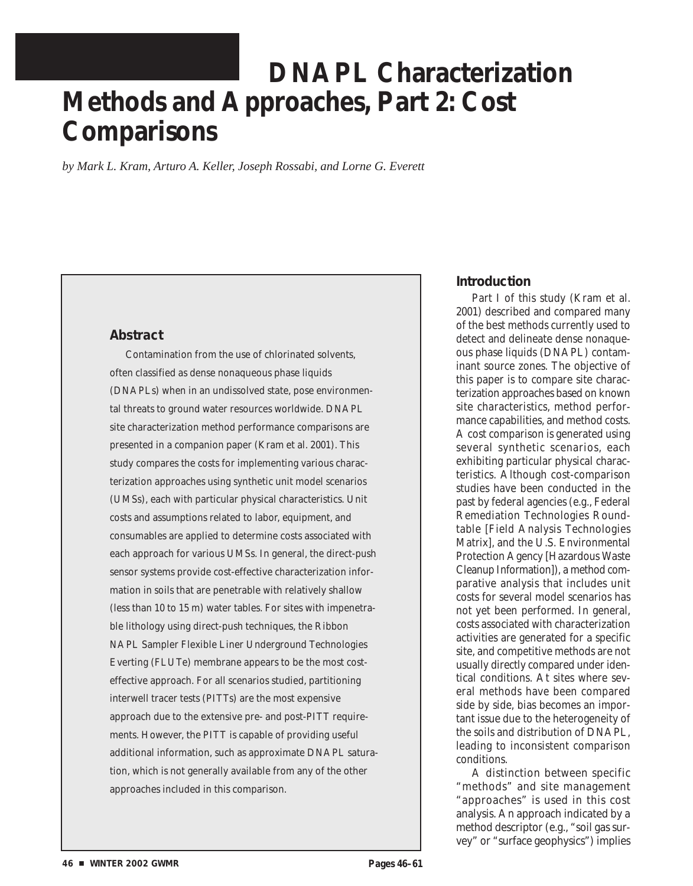# **DNAPL Characterization Methods and Approaches, Part 2: Cost Comparisons**

*by Mark L. Kram, Arturo A. Keller, Joseph Rossabi, and Lorne G. Everett* 

# **Abstract**

Contamination from the use of chlorinated solvents, often classified as dense nonaqueous phase liquids (DNAPLs) when in an undissolved state, pose environmental threats to ground water resources worldwide. DNAPL site characterization method performance comparisons are presented in a companion paper (Kram et al. 2001). This study compares the costs for implementing various characterization approaches using synthetic unit model scenarios (UMSs), each with particular physical characteristics. Unit costs and assumptions related to labor, equipment, and consumables are applied to determine costs associated with each approach for various UMSs. In general, the direct-push sensor systems provide cost-effective characterization information in soils that are penetrable with relatively shallow (less than 10 to 15 m) water tables. For sites with impenetrable lithology using direct-push techniques, the Ribbon NAPL Sampler Flexible Liner Underground Technologies Everting (FLUTe) membrane appears to be the most costeffective approach. For all scenarios studied, partitioning interwell tracer tests (PITTs) are the most expensive approach due to the extensive pre- and post-PITT requirements. However, the PITT is capable of providing useful additional information, such as approximate DNAPL saturation, which is not generally available from any of the other approaches included in this comparison.

# **Introduction**

Part I of this study (Kram et al. 2001) described and compared many of the best methods currently used to detect and delineate dense nonaqueous phase liquids (DNAPL) contaminant source zones. The objective of this paper is to compare site characterization approaches based on known site characteristics, method performance capabilities, and method costs. A cost comparison is generated using several synthetic scenarios, each exhibiting particular physical characteristics. Although cost-comparison studies have been conducted in the past by federal agencies (e.g., Federal Remediation Technologies Roundtable [Field Analysis Technologies Matrix], and the U.S. Environmental Protection Agency [Hazardous Waste Cleanup Information]), a method comparative analysis that includes unit costs for several model scenarios has not yet been performed. In general, costs associated with characterization activities are generated for a specific site, and competitive methods are not usually directly compared under identical conditions. At sites where several methods have been compared side by side, bias becomes an important issue due to the heterogeneity of the soils and distribution of DNAPL, leading to inconsistent comparison conditions.

A distinction between specific "methods" and site management "approaches" is used in this cost analysis. An approach indicated by a method descriptor (e.g., "soil gas survey" or "surface geophysics") implies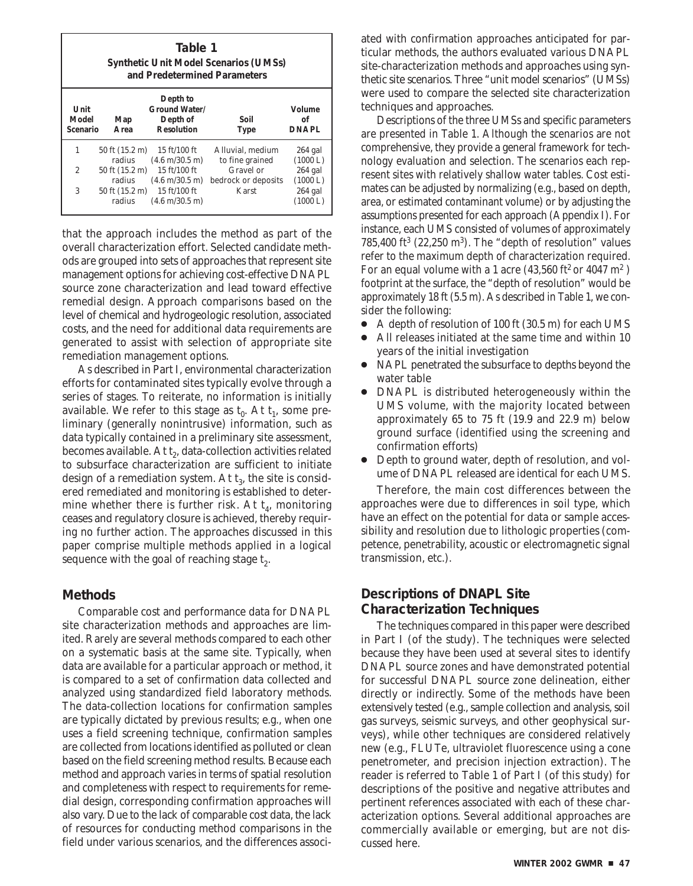|                                  | Table 1<br><b>Synthetic Unit Model Scenarios (UMSs)</b><br>and Predetermined Parameters |                                                                   |                                     |                                     |
|----------------------------------|-----------------------------------------------------------------------------------------|-------------------------------------------------------------------|-------------------------------------|-------------------------------------|
| Unit<br>Model<br><b>Scenario</b> | Map<br>Area                                                                             | Depth to<br><b>Ground Water/</b><br>Depth of<br><b>Resolution</b> | Soil<br><b>Type</b>                 | <b>Volume</b><br>of<br><b>DNAPL</b> |
| 1                                | 50 ft (15.2 m)<br>radius                                                                | 15 ft/100 ft<br>$(4.6 \text{ m}/30.5 \text{ m})$                  | Alluvial. medium<br>to fine grained | $264$ gal<br>(1000 L)               |
| 2                                | 50 ft (15.2 m)<br>radius                                                                | 15 ft/100 ft<br>$(4.6 \text{ m}/30.5 \text{ m})$                  | Gravel or<br>bedrock or deposits    | $264$ gal<br>(1000 L)               |
| 3                                | 50 ft (15.2 m)<br>radius                                                                | 15 ft/100 ft<br>$(4.6 \text{ m}/30.5 \text{ m})$                  | Karst                               | $264$ gal<br>(1000 L)               |

that the approach includes the method as part of the overall characterization effort. Selected candidate methods are grouped into sets of approaches that represent site management options for achieving cost-effective DNAPL source zone characterization and lead toward effective remedial design. Approach comparisons based on the level of chemical and hydrogeologic resolution, associated costs, and the need for additional data requirements are generated to assist with selection of appropriate site remediation management options.

As described in Part I, environmental characterization efforts for contaminated sites typically evolve through a series of stages. To reiterate, no information is initially available. We refer to this stage as  $t_0$ . At  $t_1$ , some preliminary (generally nonintrusive) information, such as data typically contained in a preliminary site assessment, becomes available. At  $t_2$ , data-collection activities related to subsurface characterization are sufficient to initiate design of a remediation system. At  $t_3$ , the site is considered remediated and monitoring is established to determine whether there is further risk. At  $t_4$ , monitoring ceases and regulatory closure is achieved, thereby requiring no further action. The approaches discussed in this paper comprise multiple methods applied in a logical sequence with the goal of reaching stage  $t<sub>2</sub>$ .

### **Methods**

Comparable cost and performance data for DNAPL site characterization methods and approaches are limited. Rarely are several methods compared to each other on a systematic basis at the same site. Typically, when data are available for a particular approach or method, it is compared to a set of confirmation data collected and analyzed using standardized field laboratory methods. The data-collection locations for confirmation samples are typically dictated by previous results; e.g., when one uses a field screening technique, confirmation samples are collected from locations identified as polluted or clean based on the field screening method results. Because each method and approach varies in terms of spatial resolution and completeness with respect to requirements for remedial design, corresponding confirmation approaches will also vary. Due to the lack of comparable cost data, the lack of resources for conducting method comparisons in the field under various scenarios, and the differences associated with confirmation approaches anticipated for particular methods, the authors evaluated various DNAPL site-characterization methods and approaches using synthetic site scenarios. Three "unit model scenarios" (UMSs) were used to compare the selected site characterization techniques and approaches.

Descriptions of the three UMSs and specific parameters are presented in Table 1. Although the scenarios are not comprehensive, they provide a general framework for technology evaluation and selection. The scenarios each represent sites with relatively shallow water tables. Cost estimates can be adjusted by normalizing (e.g., based on depth, area, or estimated contaminant volume) or by adjusting the assumptions presented for each approach (Appendix I). For instance, each UMS consisted of volumes of approximately  $785,400$  ft<sup>3</sup> (22,250 m<sup>3</sup>). The "depth of resolution" values refer to the maximum depth of characterization required. For an equal volume with a 1 acre (43,560 ft<sup>2</sup> or 4047 m<sup>2</sup>) footprint at the surface, the "depth of resolution" would be approximately 18 ft (5.5 m). As described in Table 1, we consider the following:

- A depth of resolution of 100 ft (30.5 m) for each UMS
- All releases initiated at the same time and within 10 years of the initial investigation
- NAPL penetrated the subsurface to depths beyond the water table
- DNAPL is distributed heterogeneously within the UMS volume, with the majority located between approximately 65 to 75 ft (19.9 and 22.9 m) below ground surface (identified using the screening and confirmation efforts)
- Depth to ground water, depth of resolution, and volume of DNAPL released are identical for each UMS.

Therefore, the main cost differences between the approaches were due to differences in soil type, which have an effect on the potential for data or sample accessibility and resolution due to lithologic properties (competence, penetrability, acoustic or electromagnetic signal transmission, etc.).

# **Descriptions of DNAPL Site Characterization Techniques**

The techniques compared in this paper were described in Part I (of the study). The techniques were selected because they have been used at several sites to identify DNAPL source zones and have demonstrated potential for successful DNAPL source zone delineation, either directly or indirectly. Some of the methods have been extensively tested (e.g., sample collection and analysis, soil gas surveys, seismic surveys, and other geophysical surveys), while other techniques are considered relatively new (e.g., FLUTe, ultraviolet fluorescence using a cone penetrometer, and precision injection extraction). The reader is referred to Table 1 of Part I (of this study) for descriptions of the positive and negative attributes and pertinent references associated with each of these characterization options. Several additional approaches are commercially available or emerging, but are not discussed here.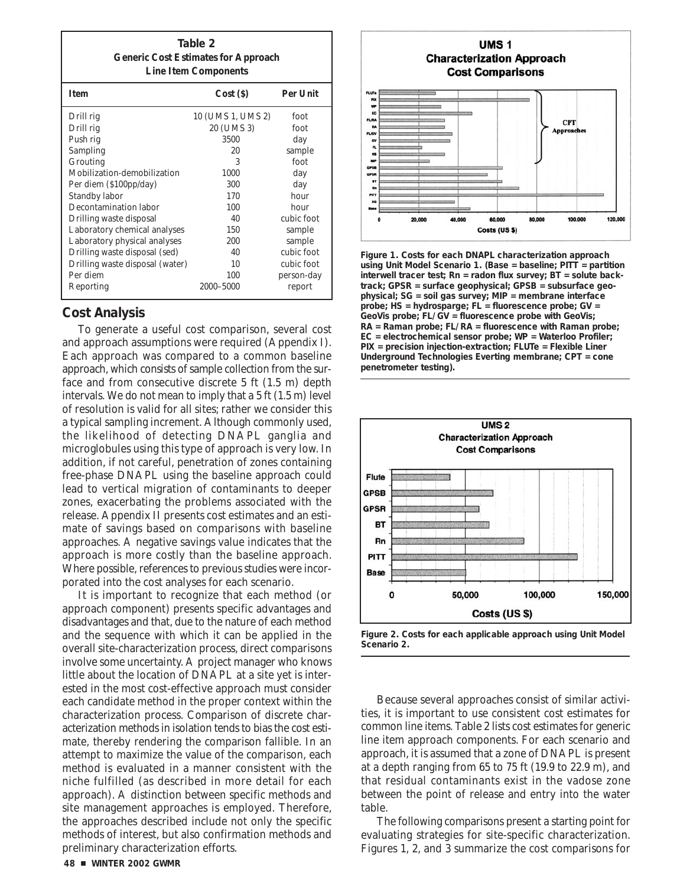| Table 2                                    |
|--------------------------------------------|
| <b>Generic Cost Estimates for Approach</b> |
| <b>Line Item Components</b>                |

| <b>Item</b>                     | Cost(S)           | <b>Per Unit</b> |
|---------------------------------|-------------------|-----------------|
| Drill rig                       | 10 (UMS 1, UMS 2) | foot            |
| Drill rig                       | 20 (UMS 3)        | foot            |
| Push rig                        | 3500              | day             |
| Sampling                        | 20                | sample          |
| Grouting                        | 3                 | foot            |
| Mobilization-demobilization     | 1000              | day             |
| Per diem (\$100pp/day)          | 300               | day             |
| Standby labor                   | 170               | hour            |
| Decontamination labor           | 100               | hour            |
| Drilling waste disposal         | 40                | cubic foot      |
| Laboratory chemical analyses    | 150               | sample          |
| Laboratory physical analyses    | 200               | sample          |
| Drilling waste disposal (sed)   | 40                | cubic foot      |
| Drilling waste disposal (water) | 10                | cubic foot      |
| Per diem                        | 100               | person-day      |
| Reporting                       | 2000-5000         | report          |

# **Cost Analysis**

To generate a useful cost comparison, several cost and approach assumptions were required (Appendix I). Each approach was compared to a common baseline approach, which consists of sample collection from the surface and from consecutive discrete 5 ft (1.5 m) depth intervals. We do not mean to imply that a 5 ft (1.5 m) level of resolution is valid for all sites; rather we consider this a typical sampling increment. Although commonly used, the likelihood of detecting DNAPL ganglia and microglobules using this type of approach is very low. In addition, if not careful, penetration of zones containing free-phase DNAPL using the baseline approach could lead to vertical migration of contaminants to deeper zones, exacerbating the problems associated with the release. Appendix II presents cost estimates and an estimate of savings based on comparisons with baseline approaches. A negative savings value indicates that the approach is more costly than the baseline approach. Where possible, references to previous studies were incorporated into the cost analyses for each scenario.

It is important to recognize that each method (or approach component) presents specific advantages and disadvantages and that, due to the nature of each method and the sequence with which it can be applied in the overall site-characterization process, direct comparisons involve some uncertainty. A project manager who knows little about the location of DNAPL at a site yet is interested in the most cost-effective approach must consider each candidate method in the proper context within the characterization process. Comparison of discrete characterization methods in isolation tends to bias the cost estimate, thereby rendering the comparison fallible. In an attempt to maximize the value of the comparison, each method is evaluated in a manner consistent with the niche fulfilled (as described in more detail for each approach). A distinction between specific methods and site management approaches is employed. Therefore, the approaches described include not only the specific methods of interest, but also confirmation methods and preliminary characterization efforts.



**Figure 1. Costs for each DNAPL characterization approach using Unit Model Scenario 1. (Base = baseline; PITT = partition interwell tracer test; Rn = radon flux survey; BT = solute backtrack; GPSR = surface geophysical; GPSB = subsurface geophysical; SG = soil gas survey; MIP = membrane interface probe; HS = hydrosparge; FL = fluorescence probe; GV = GeoVis probe; FL/GV = fluorescence probe with GeoVis; RA = Raman probe; FL/RA = fluorescence with Raman probe; EC = electrochemical sensor probe; WP = Waterloo Profiler; PIX = precision injection-extraction; FLUTe = Flexible Liner Underground Technologies Everting membrane; CPT = cone penetrometer testing).** 



**Figure 2. Costs for each applicable approach using Unit Model Scenario 2.** 

Because several approaches consist of similar activities, it is important to use consistent cost estimates for common line items. Table 2 lists cost estimates for generic line item approach components. For each scenario and approach, it is assumed that a zone of DNAPL is present at a depth ranging from 65 to 75 ft (19.9 to 22.9 m), and that residual contaminants exist in the vadose zone between the point of release and entry into the water table.

The following comparisons present a starting point for evaluating strategies for site-specific characterization. Figures 1, 2, and 3 summarize the cost comparisons for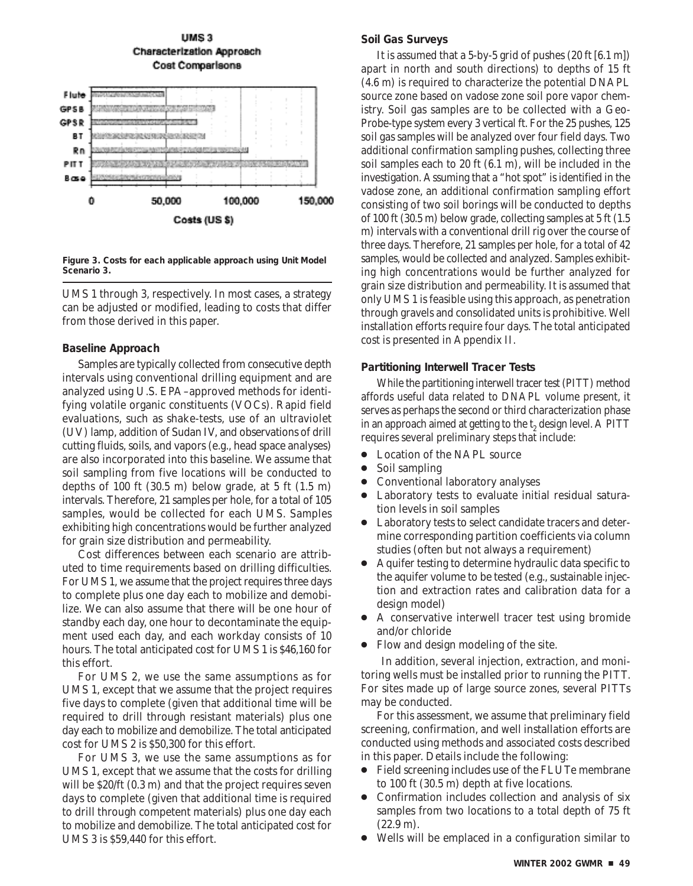

**Figure 3. Costs for each applicable approach using Unit Model Scenario 3.** 

UMS 1 through 3, respectively. In most cases, a strategy can be adjusted or modified, leading to costs that differ from those derived in this paper.

#### **Baseline Approach**

Samples are typically collected from consecutive depth intervals using conventional drilling equipment and are analyzed using U.S. EPA–approved methods for identifying volatile organic constituents (VOCs). Rapid field evaluations, such as shake-tests, use of an ultraviolet (UV) lamp, addition of Sudan IV, and observations of drill cutting fluids, soils, and vapors (e.g., head space analyses) are also incorporated into this baseline. We assume that soil sampling from five locations will be conducted to depths of 100 ft  $(30.5 \text{ m})$  below grade, at 5 ft  $(1.5 \text{ m})$ intervals. Therefore, 21 samples per hole, for a total of 105 samples, would be collected for each UMS. Samples exhibiting high concentrations would be further analyzed for grain size distribution and permeability.

Cost differences between each scenario are attributed to time requirements based on drilling difficulties. For UMS 1, we assume that the project requires three days to complete plus one day each to mobilize and demobilize. We can also assume that there will be one hour of standby each day, one hour to decontaminate the equipment used each day, and each workday consists of 10 hours. The total anticipated cost for UMS 1 is \$46,160 for this effort.

For UMS 2, we use the same assumptions as for UMS 1, except that we assume that the project requires five days to complete (given that additional time will be required to drill through resistant materials) plus one day each to mobilize and demobilize. The total anticipated cost for UMS 2 is \$50,300 for this effort.

For UMS 3, we use the same assumptions as for UMS 1, except that we assume that the costs for drilling will be \$20/ft (0.3 m) and that the project requires seven days to complete (given that additional time is required to drill through competent materials) plus one day each to mobilize and demobilize. The total anticipated cost for UMS 3 is \$59,440 for this effort.

# **Soil Gas Surveys**

It is assumed that a 5-by-5 grid of pushes (20 ft [6.1 m]) apart in north and south directions) to depths of 15 ft (4.6 m) is required to characterize the potential DNAPL source zone based on vadose zone soil pore vapor chemistry. Soil gas samples are to be collected with a Geo-Probe-type system every 3 vertical ft. For the 25 pushes, 125 soil gas samples will be analyzed over four field days. Two additional confirmation sampling pushes, collecting three soil samples each to 20 ft (6.1 m), will be included in the investigation. Assuming that a "hot spot" is identified in the vadose zone, an additional confirmation sampling effort consisting of two soil borings will be conducted to depths of 100 ft (30.5 m) below grade, collecting samples at 5 ft (1.5 m) intervals with a conventional drill rig over the course of three days. Therefore, 21 samples per hole, for a total of 42 samples, would be collected and analyzed. Samples exhibiting high concentrations would be further analyzed for grain size distribution and permeability. It is assumed that only UMS 1 is feasible using this approach, as penetration through gravels and consolidated units is prohibitive. Well installation efforts require four days. The total anticipated cost is presented in Appendix II.

#### **Partitioning Interwell Tracer Tests**

While the partitioning interwell tracer test (PITT) method affords useful data related to DNAPL volume present, it serves as perhaps the second or third characterization phase in an approach aimed at getting to the t<sub>2</sub> design level. A PITT requires several preliminary steps that include:

- Location of the NAPL source
- Soil sampling
- Conventional laboratory analyses
- Laboratory tests to evaluate initial residual saturation levels in soil samples
- Laboratory tests to select candidate tracers and determine corresponding partition coefficients via column studies (often but not always a requirement)
- Aquifer testing to determine hydraulic data specific to the aquifer volume to be tested (e.g., sustainable injection and extraction rates and calibration data for a design model)
- A conservative interwell tracer test using bromide and/or chloride
- Flow and design modeling of the site.

In addition, several injection, extraction, and monitoring wells must be installed prior to running the PITT. For sites made up of large source zones, several PITTs may be conducted.

For this assessment, we assume that preliminary field screening, confirmation, and well installation efforts are conducted using methods and associated costs described in this paper. Details include the following:

- Field screening includes use of the FLUTe membrane to 100 ft (30.5 m) depth at five locations.
- Confirmation includes collection and analysis of six samples from two locations to a total depth of 75 ft (22.9 m).
- Wells will be emplaced in a configuration similar to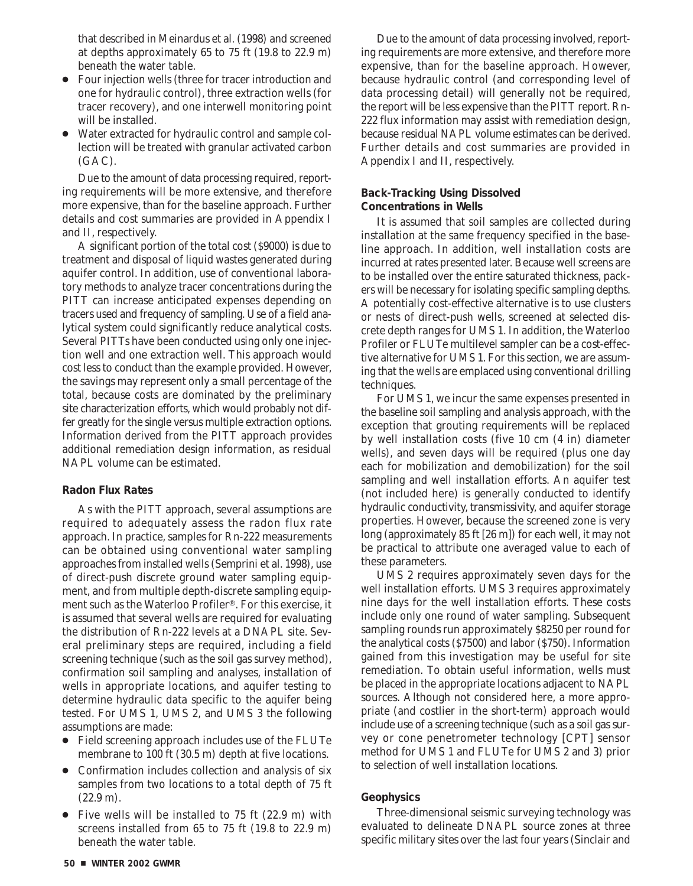that described in Meinardus et al. (1998) and screened at depths approximately 65 to 75 ft (19.8 to 22.9 m) beneath the water table.

- Four injection wells (three for tracer introduction and one for hydraulic control), three extraction wells (for tracer recovery), and one interwell monitoring point will be installed.
- Water extracted for hydraulic control and sample collection will be treated with granular activated carbon (GAC).

Due to the amount of data processing required, reporting requirements will be more extensive, and therefore more expensive, than for the baseline approach. Further details and cost summaries are provided in Appendix I and II, respectively.

A significant portion of the total cost (\$9000) is due to treatment and disposal of liquid wastes generated during aquifer control. In addition, use of conventional laboratory methods to analyze tracer concentrations during the PITT can increase anticipated expenses depending on tracers used and frequency of sampling. Use of a field analytical system could significantly reduce analytical costs. Several PITTs have been conducted using only one injection well and one extraction well. This approach would cost less to conduct than the example provided. However, the savings may represent only a small percentage of the total, because costs are dominated by the preliminary site characterization efforts, which would probably not differ greatly for the single versus multiple extraction options. Information derived from the PITT approach provides additional remediation design information, as residual NAPL volume can be estimated.

#### **Radon Flux Rates**

As with the PITT approach, several assumptions are required to adequately assess the radon flux rate approach. In practice, samples for Rn-222 measurements can be obtained using conventional water sampling approaches from installed wells (Semprini et al. 1998), use of direct-push discrete ground water sampling equipment, and from multiple depth-discrete sampling equipment such as the Waterloo Profiler®. For this exercise, it is assumed that several wells are required for evaluating the distribution of Rn-222 levels at a DNAPL site. Several preliminary steps are required, including a field screening technique (such as the soil gas survey method), confirmation soil sampling and analyses, installation of wells in appropriate locations, and aquifer testing to determine hydraulic data specific to the aquifer being tested. For UMS 1, UMS 2, and UMS 3 the following assumptions are made:

- Field screening approach includes use of the FLUTe membrane to 100 ft (30.5 m) depth at five locations.
- Confirmation includes collection and analysis of six samples from two locations to a total depth of 75 ft (22.9 m).
- Five wells will be installed to 75 ft (22.9 m) with screens installed from 65 to 75 ft (19.8 to 22.9 m) beneath the water table.

Due to the amount of data processing involved, reporting requirements are more extensive, and therefore more expensive, than for the baseline approach. However, because hydraulic control (and corresponding level of data processing detail) will generally not be required, the report will be less expensive than the PITT report. Rn-222 flux information may assist with remediation design, because residual NAPL volume estimates can be derived. Further details and cost summaries are provided in Appendix I and II, respectively.

#### **Back-Tracking Using Dissolved Concentrations in Wells**

It is assumed that soil samples are collected during installation at the same frequency specified in the baseline approach. In addition, well installation costs are incurred at rates presented later. Because well screens are to be installed over the entire saturated thickness, packers will be necessary for isolating specific sampling depths. A potentially cost-effective alternative is to use clusters or nests of direct-push wells, screened at selected discrete depth ranges for UMS 1. In addition, the Waterloo Profiler or FLUTe multilevel sampler can be a cost-effective alternative for UMS 1. For this section, we are assuming that the wells are emplaced using conventional drilling techniques.

For UMS 1, we incur the same expenses presented in the baseline soil sampling and analysis approach, with the exception that grouting requirements will be replaced by well installation costs (five 10 cm (4 in) diameter wells), and seven days will be required (plus one day each for mobilization and demobilization) for the soil sampling and well installation efforts. An aquifer test (not included here) is generally conducted to identify hydraulic conductivity, transmissivity, and aquifer storage properties. However, because the screened zone is very long (approximately 85 ft [26 m]) for each well, it may not be practical to attribute one averaged value to each of these parameters.

UMS 2 requires approximately seven days for the well installation efforts. UMS 3 requires approximately nine days for the well installation efforts. These costs include only one round of water sampling. Subsequent sampling rounds run approximately \$8250 per round for the analytical costs (\$7500) and labor (\$750). Information gained from this investigation may be useful for site remediation. To obtain useful information, wells must be placed in the appropriate locations adjacent to NAPL sources. Although not considered here, a more appropriate (and costlier in the short-term) approach would include use of a screening technique (such as a soil gas survey or cone penetrometer technology [CPT] sensor method for UMS 1 and FLUTe for UMS 2 and 3) prior to selection of well installation locations.

#### **Geophysics**

Three-dimensional seismic surveying technology was evaluated to delineate DNAPL source zones at three specific military sites over the last four years (Sinclair and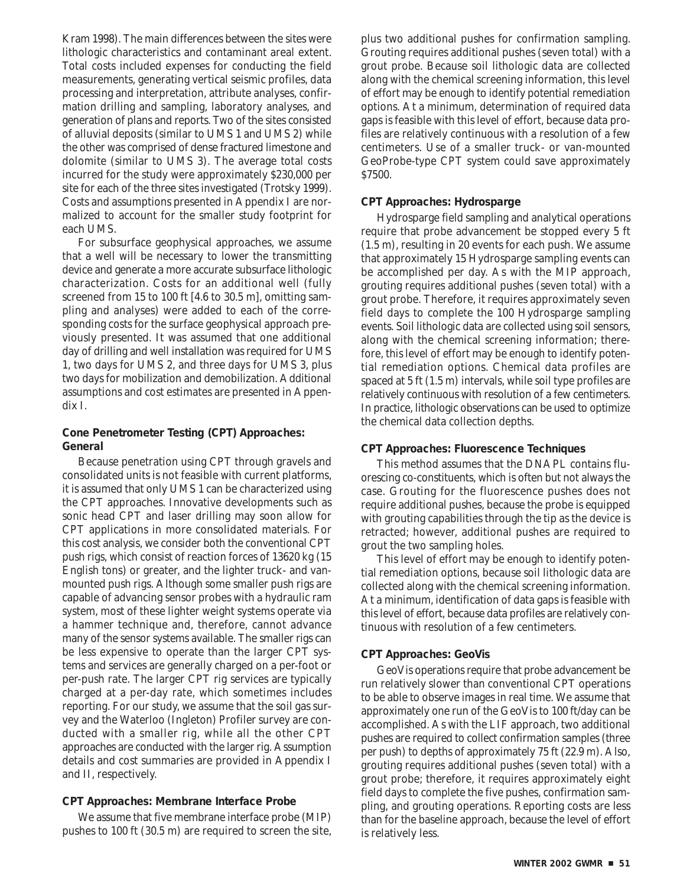Kram 1998). The main differences between the sites were lithologic characteristics and contaminant areal extent. Total costs included expenses for conducting the field measurements, generating vertical seismic profiles, data processing and interpretation, attribute analyses, confirmation drilling and sampling, laboratory analyses, and generation of plans and reports. Two of the sites consisted of alluvial deposits (similar to UMS 1 and UMS 2) while the other was comprised of dense fractured limestone and dolomite (similar to UMS 3). The average total costs incurred for the study were approximately \$230,000 per site for each of the three sites investigated (Trotsky 1999). Costs and assumptions presented in Appendix I are normalized to account for the smaller study footprint for each UMS.

For subsurface geophysical approaches, we assume that a well will be necessary to lower the transmitting device and generate a more accurate subsurface lithologic characterization. Costs for an additional well (fully screened from 15 to 100 ft [4.6 to 30.5 m], omitting sampling and analyses) were added to each of the corresponding costs for the surface geophysical approach previously presented. It was assumed that one additional day of drilling and well installation was required for UMS 1, two days for UMS 2, and three days for UMS 3, plus two days for mobilization and demobilization. Additional assumptions and cost estimates are presented in Appendix I.

# **Cone Penetrometer Testing (CPT) Approaches: General**

Because penetration using CPT through gravels and consolidated units is not feasible with current platforms, it is assumed that only UMS 1 can be characterized using the CPT approaches. Innovative developments such as sonic head CPT and laser drilling may soon allow for CPT applications in more consolidated materials. For this cost analysis, we consider both the conventional CPT push rigs, which consist of reaction forces of 13620 kg (15 English tons) or greater, and the lighter truck- and vanmounted push rigs. Although some smaller push rigs are capable of advancing sensor probes with a hydraulic ram system, most of these lighter weight systems operate via a hammer technique and, therefore, cannot advance many of the sensor systems available. The smaller rigs can be less expensive to operate than the larger CPT systems and services are generally charged on a per-foot or per-push rate. The larger CPT rig services are typically charged at a per-day rate, which sometimes includes reporting. For our study, we assume that the soil gas survey and the Waterloo (Ingleton) Profiler survey are conducted with a smaller rig, while all the other CPT approaches are conducted with the larger rig. Assumption details and cost summaries are provided in Appendix I and II, respectively.

### **CPT Approaches: Membrane Interface Probe**

We assume that five membrane interface probe (MIP) pushes to 100 ft (30.5 m) are required to screen the site, plus two additional pushes for confirmation sampling. Grouting requires additional pushes (seven total) with a grout probe. Because soil lithologic data are collected along with the chemical screening information, this level of effort may be enough to identify potential remediation options. At a minimum, determination of required data gaps is feasible with this level of effort, because data profiles are relatively continuous with a resolution of a few centimeters. Use of a smaller truck- or van-mounted GeoProbe-type CPT system could save approximately \$7500.

# **CPT Approaches: Hydrosparge**

Hydrosparge field sampling and analytical operations require that probe advancement be stopped every 5 ft (1.5 m), resulting in 20 events for each push. We assume that approximately 15 Hydrosparge sampling events can be accomplished per day. As with the MIP approach, grouting requires additional pushes (seven total) with a grout probe. Therefore, it requires approximately seven field days to complete the 100 Hydrosparge sampling events. Soil lithologic data are collected using soil sensors, along with the chemical screening information; therefore, this level of effort may be enough to identify potential remediation options. Chemical data profiles are spaced at 5 ft (1.5 m) intervals, while soil type profiles are relatively continuous with resolution of a few centimeters. In practice, lithologic observations can be used to optimize the chemical data collection depths.

# **CPT Approaches: Fluorescence Techniques**

This method assumes that the DNAPL contains fluorescing co-constituents, which is often but not always the case. Grouting for the fluorescence pushes does not require additional pushes, because the probe is equipped with grouting capabilities through the tip as the device is retracted; however, additional pushes are required to grout the two sampling holes.

This level of effort may be enough to identify potential remediation options, because soil lithologic data are collected along with the chemical screening information. At a minimum, identification of data gaps is feasible with this level of effort, because data profiles are relatively continuous with resolution of a few centimeters.

# **CPT Approaches: GeoVis**

GeoVis operations require that probe advancement be run relatively slower than conventional CPT operations to be able to observe images in real time. We assume that approximately one run of the GeoVis to 100 ft/day can be accomplished. As with the LIF approach, two additional pushes are required to collect confirmation samples (three per push) to depths of approximately 75 ft (22.9 m). Also, grouting requires additional pushes (seven total) with a grout probe; therefore, it requires approximately eight field days to complete the five pushes, confirmation sampling, and grouting operations. Reporting costs are less than for the baseline approach, because the level of effort is relatively less.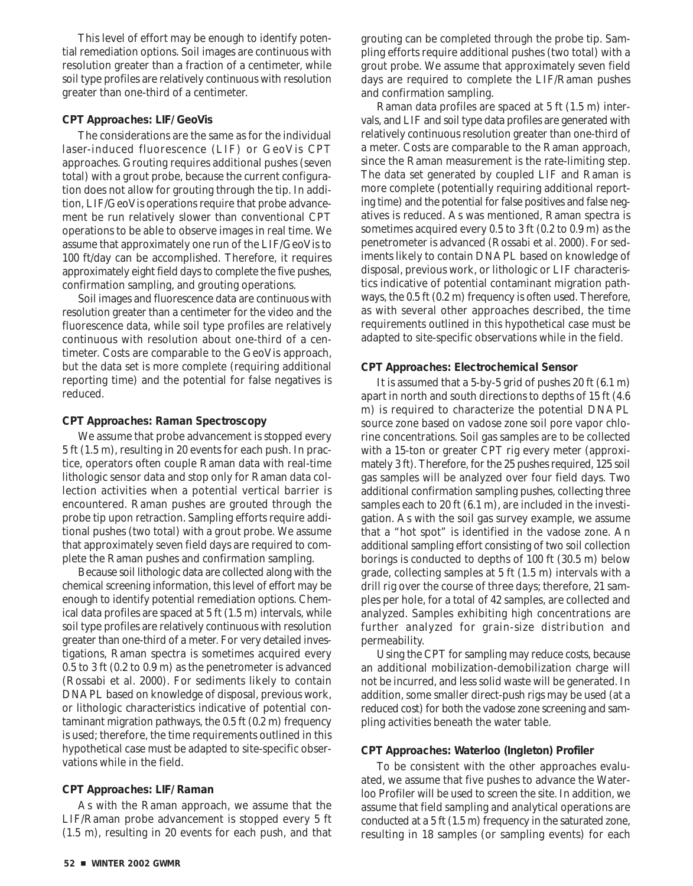This level of effort may be enough to identify potential remediation options. Soil images are continuous with resolution greater than a fraction of a centimeter, while soil type profiles are relatively continuous with resolution greater than one-third of a centimeter.

#### **CPT Approaches: LIF/GeoVis**

The considerations are the same as for the individual laser-induced fluorescence (LIF) or GeoVis CPT approaches. Grouting requires additional pushes (seven total) with a grout probe, because the current configuration does not allow for grouting through the tip. In addition, LIF/GeoVis operations require that probe advancement be run relatively slower than conventional CPT operations to be able to observe images in real time. We assume that approximately one run of the LIF/GeoVis to 100 ft/day can be accomplished. Therefore, it requires approximately eight field days to complete the five pushes, confirmation sampling, and grouting operations.

Soil images and fluorescence data are continuous with resolution greater than a centimeter for the video and the fluorescence data, while soil type profiles are relatively continuous with resolution about one-third of a centimeter. Costs are comparable to the GeoVis approach, but the data set is more complete (requiring additional reporting time) and the potential for false negatives is reduced.

#### **CPT Approaches: Raman Spectroscopy**

We assume that probe advancement is stopped every 5 ft (1.5 m), resulting in 20 events for each push. In practice, operators often couple Raman data with real-time lithologic sensor data and stop only for Raman data collection activities when a potential vertical barrier is encountered. Raman pushes are grouted through the probe tip upon retraction. Sampling efforts require additional pushes (two total) with a grout probe. We assume that approximately seven field days are required to complete the Raman pushes and confirmation sampling.

Because soil lithologic data are collected along with the chemical screening information, this level of effort may be enough to identify potential remediation options. Chemical data profiles are spaced at 5 ft (1.5 m) intervals, while soil type profiles are relatively continuous with resolution greater than one-third of a meter. For very detailed investigations, Raman spectra is sometimes acquired every 0.5 to 3 ft (0.2 to 0.9 m) as the penetrometer is advanced (Rossabi et al. 2000). For sediments likely to contain DNAPL based on knowledge of disposal, previous work, or lithologic characteristics indicative of potential contaminant migration pathways, the 0.5 ft (0.2 m) frequency is used; therefore, the time requirements outlined in this hypothetical case must be adapted to site-specific observations while in the field.

#### **CPT Approaches: LIF/Raman**

As with the Raman approach, we assume that the LIF/Raman probe advancement is stopped every 5 ft (1.5 m), resulting in 20 events for each push, and that grouting can be completed through the probe tip. Sampling efforts require additional pushes (two total) with a grout probe. We assume that approximately seven field days are required to complete the LIF/Raman pushes and confirmation sampling.

Raman data profiles are spaced at 5 ft (1.5 m) intervals, and LIF and soil type data profiles are generated with relatively continuous resolution greater than one-third of a meter. Costs are comparable to the Raman approach, since the Raman measurement is the rate-limiting step. The data set generated by coupled LIF and Raman is more complete (potentially requiring additional reporting time) and the potential for false positives and false negatives is reduced. As was mentioned, Raman spectra is sometimes acquired every 0.5 to 3 ft (0.2 to 0.9 m) as the penetrometer is advanced (Rossabi et al. 2000). For sediments likely to contain DNAPL based on knowledge of disposal, previous work, or lithologic or LIF characteristics indicative of potential contaminant migration pathways, the 0.5 ft (0.2 m) frequency is often used. Therefore, as with several other approaches described, the time requirements outlined in this hypothetical case must be adapted to site-specific observations while in the field.

#### **CPT Approaches: Electrochemical Sensor**

It is assumed that a 5-by-5 grid of pushes 20 ft (6.1 m) apart in north and south directions to depths of 15 ft (4.6 m) is required to characterize the potential DNAPL source zone based on vadose zone soil pore vapor chlorine concentrations. Soil gas samples are to be collected with a 15-ton or greater CPT rig every meter (approximately 3 ft). Therefore, for the 25 pushes required, 125 soil gas samples will be analyzed over four field days. Two additional confirmation sampling pushes, collecting three samples each to 20 ft (6.1 m), are included in the investigation. As with the soil gas survey example, we assume that a "hot spot" is identified in the vadose zone. An additional sampling effort consisting of two soil collection borings is conducted to depths of 100 ft (30.5 m) below grade, collecting samples at 5 ft (1.5 m) intervals with a drill rig over the course of three days; therefore, 21 samples per hole, for a total of 42 samples, are collected and analyzed. Samples exhibiting high concentrations are further analyzed for grain-size distribution and permeability.

Using the CPT for sampling may reduce costs, because an additional mobilization-demobilization charge will not be incurred, and less solid waste will be generated. In addition, some smaller direct-push rigs may be used (at a reduced cost) for both the vadose zone screening and sampling activities beneath the water table.

#### **CPT Approaches: Waterloo (Ingleton) Profiler**

To be consistent with the other approaches evaluated, we assume that five pushes to advance the Waterloo Profiler will be used to screen the site. In addition, we assume that field sampling and analytical operations are conducted at a 5 ft (1.5 m) frequency in the saturated zone, resulting in 18 samples (or sampling events) for each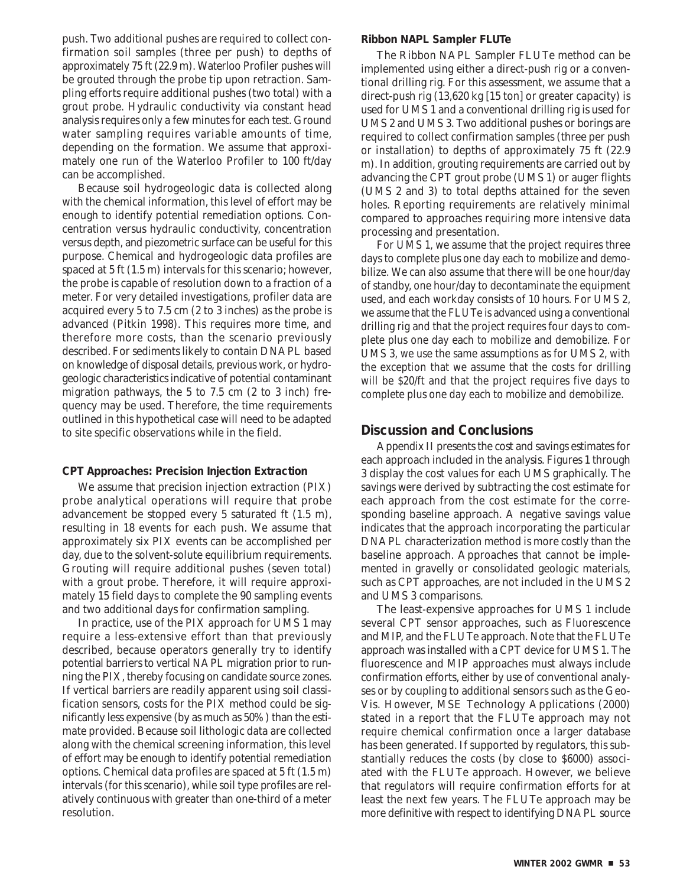push. Two additional pushes are required to collect confirmation soil samples (three per push) to depths of approximately 75 ft (22.9 m). Waterloo Profiler pushes will be grouted through the probe tip upon retraction. Sampling efforts require additional pushes (two total) with a grout probe. Hydraulic conductivity via constant head analysis requires only a few minutes for each test. Ground water sampling requires variable amounts of time, depending on the formation. We assume that approximately one run of the Waterloo Profiler to 100 ft/day can be accomplished.

Because soil hydrogeologic data is collected along with the chemical information, this level of effort may be enough to identify potential remediation options. Concentration versus hydraulic conductivity, concentration versus depth, and piezometric surface can be useful for this purpose. Chemical and hydrogeologic data profiles are spaced at 5 ft (1.5 m) intervals for this scenario; however, the probe is capable of resolution down to a fraction of a meter. For very detailed investigations, profiler data are acquired every 5 to 7.5 cm (2 to 3 inches) as the probe is advanced (Pitkin 1998). This requires more time, and therefore more costs, than the scenario previously described. For sediments likely to contain DNAPL based on knowledge of disposal details, previous work, or hydrogeologic characteristics indicative of potential contaminant migration pathways, the 5 to 7.5 cm (2 to 3 inch) frequency may be used. Therefore, the time requirements outlined in this hypothetical case will need to be adapted to site specific observations while in the field.

#### **CPT Approaches: Precision Injection Extraction**

We assume that precision injection extraction (PIX) probe analytical operations will require that probe advancement be stopped every 5 saturated ft (1.5 m), resulting in 18 events for each push. We assume that approximately six PIX events can be accomplished per day, due to the solvent-solute equilibrium requirements. Grouting will require additional pushes (seven total) with a grout probe. Therefore, it will require approximately 15 field days to complete the 90 sampling events and two additional days for confirmation sampling.

In practice, use of the PIX approach for UMS 1 may require a less-extensive effort than that previously described, because operators generally try to identify potential barriers to vertical NAPL migration prior to running the PIX, thereby focusing on candidate source zones. If vertical barriers are readily apparent using soil classification sensors, costs for the PIX method could be significantly less expensive (by as much as 50%) than the estimate provided. Because soil lithologic data are collected along with the chemical screening information, this level of effort may be enough to identify potential remediation options. Chemical data profiles are spaced at 5 ft (1.5 m) intervals (for this scenario), while soil type profiles are relatively continuous with greater than one-third of a meter resolution.

#### **Ribbon NAPL Sampler FLUTe**

The Ribbon NAPL Sampler FLUTe method can be implemented using either a direct-push rig or a conventional drilling rig. For this assessment, we assume that a direct-push rig (13,620 kg [15 ton] or greater capacity) is used for UMS 1 and a conventional drilling rig is used for UMS 2 and UMS 3. Two additional pushes or borings are required to collect confirmation samples (three per push or installation) to depths of approximately 75 ft (22.9 m). In addition, grouting requirements are carried out by advancing the CPT grout probe (UMS 1) or auger flights (UMS 2 and 3) to total depths attained for the seven holes. Reporting requirements are relatively minimal compared to approaches requiring more intensive data processing and presentation.

For UMS 1, we assume that the project requires three days to complete plus one day each to mobilize and demobilize. We can also assume that there will be one hour/day of standby, one hour/day to decontaminate the equipment used, and each workday consists of 10 hours. For UMS 2, we assume that the FLUTe is advanced using a conventional drilling rig and that the project requires four days to complete plus one day each to mobilize and demobilize. For UMS 3, we use the same assumptions as for UMS 2, with the exception that we assume that the costs for drilling will be \$20/ft and that the project requires five days to complete plus one day each to mobilize and demobilize.

# **Discussion and Conclusions**

Appendix II presents the cost and savings estimates for each approach included in the analysis. Figures 1 through 3 display the cost values for each UMS graphically. The savings were derived by subtracting the cost estimate for each approach from the cost estimate for the corresponding baseline approach. A negative savings value indicates that the approach incorporating the particular DNAPL characterization method is more costly than the baseline approach. Approaches that cannot be implemented in gravelly or consolidated geologic materials, such as CPT approaches, are not included in the UMS 2 and UMS 3 comparisons.

The least-expensive approaches for UMS 1 include several CPT sensor approaches, such as Fluorescence and MIP, and the FLUTe approach. Note that the FLUTe approach was installed with a CPT device for UMS 1. The fluorescence and MIP approaches must always include confirmation efforts, either by use of conventional analyses or by coupling to additional sensors such as the Geo-Vis. However, MSE Technology Applications (2000) stated in a report that the FLUTe approach may not require chemical confirmation once a larger database has been generated. If supported by regulators, this substantially reduces the costs (by close to \$6000) associated with the FLUTe approach. However, we believe that regulators will require confirmation efforts for at least the next few years. The FLUTe approach may be more definitive with respect to identifying DNAPL source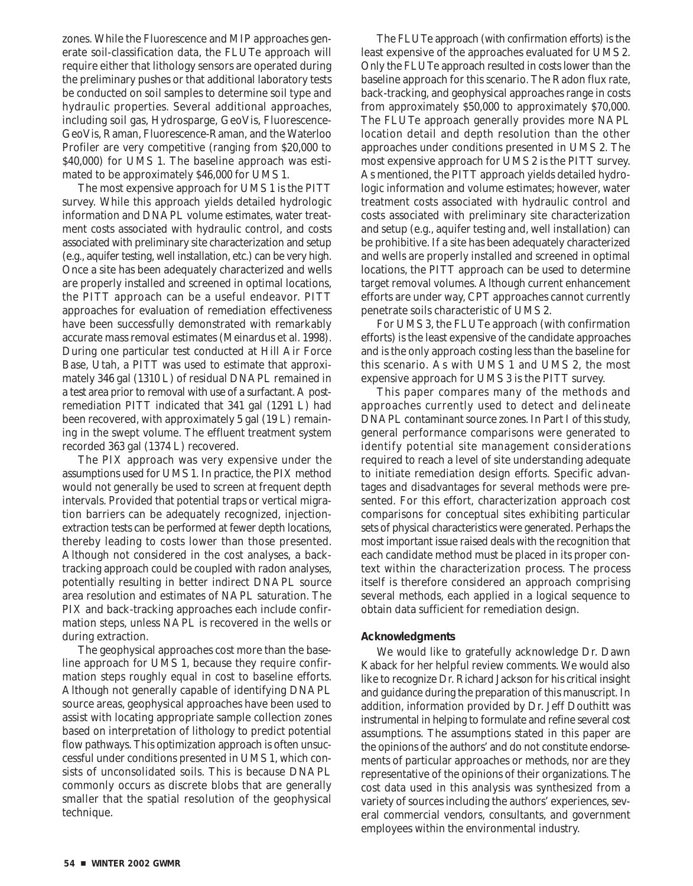zones. While the Fluorescence and MIP approaches generate soil-classification data, the FLUTe approach will require either that lithology sensors are operated during the preliminary pushes or that additional laboratory tests be conducted on soil samples to determine soil type and hydraulic properties. Several additional approaches, including soil gas, Hydrosparge, GeoVis, Fluorescence-GeoVis, Raman, Fluorescence-Raman, and the Waterloo Profiler are very competitive (ranging from \$20,000 to \$40,000) for UMS 1. The baseline approach was estimated to be approximately \$46,000 for UMS 1.

The most expensive approach for UMS 1 is the PITT survey. While this approach yields detailed hydrologic information and DNAPL volume estimates, water treatment costs associated with hydraulic control, and costs associated with preliminary site characterization and setup (e.g., aquifer testing, well installation, etc.) can be very high. Once a site has been adequately characterized and wells are properly installed and screened in optimal locations, the PITT approach can be a useful endeavor. PITT approaches for evaluation of remediation effectiveness have been successfully demonstrated with remarkably accurate mass removal estimates (Meinardus et al. 1998). During one particular test conducted at Hill Air Force Base, Utah, a PITT was used to estimate that approximately 346 gal (1310 L) of residual DNAPL remained in a test area prior to removal with use of a surfactant. A postremediation PITT indicated that 341 gal (1291 L) had been recovered, with approximately 5 gal (19 L) remaining in the swept volume. The effluent treatment system recorded 363 gal (1374 L) recovered.

The PIX approach was very expensive under the assumptions used for UMS 1. In practice, the PIX method would not generally be used to screen at frequent depth intervals. Provided that potential traps or vertical migration barriers can be adequately recognized, injectionextraction tests can be performed at fewer depth locations, thereby leading to costs lower than those presented. Although not considered in the cost analyses, a backtracking approach could be coupled with radon analyses, potentially resulting in better indirect DNAPL source area resolution and estimates of NAPL saturation. The PIX and back-tracking approaches each include confirmation steps, unless NAPL is recovered in the wells or during extraction.

The geophysical approaches cost more than the baseline approach for UMS 1, because they require confirmation steps roughly equal in cost to baseline efforts. Although not generally capable of identifying DNAPL source areas, geophysical approaches have been used to assist with locating appropriate sample collection zones based on interpretation of lithology to predict potential flow pathways. This optimization approach is often unsuccessful under conditions presented in UMS 1, which consists of unconsolidated soils. This is because DNAPL commonly occurs as discrete blobs that are generally smaller that the spatial resolution of the geophysical technique.

The FLUTe approach (with confirmation efforts) is the least expensive of the approaches evaluated for UMS 2. Only the FLUTe approach resulted in costs lower than the baseline approach for this scenario. The Radon flux rate, back-tracking, and geophysical approaches range in costs from approximately \$50,000 to approximately \$70,000. The FLUTe approach generally provides more NAPL location detail and depth resolution than the other approaches under conditions presented in UMS 2. The most expensive approach for UMS 2 is the PITT survey. As mentioned, the PITT approach yields detailed hydrologic information and volume estimates; however, water treatment costs associated with hydraulic control and costs associated with preliminary site characterization and setup (e.g., aquifer testing and, well installation) can be prohibitive. If a site has been adequately characterized and wells are properly installed and screened in optimal locations, the PITT approach can be used to determine target removal volumes. Although current enhancement efforts are under way, CPT approaches cannot currently penetrate soils characteristic of UMS 2.

For UMS 3, the FLUTe approach (with confirmation efforts) is the least expensive of the candidate approaches and is the only approach costing less than the baseline for this scenario. As with UMS 1 and UMS 2, the most expensive approach for UMS 3 is the PITT survey.

This paper compares many of the methods and approaches currently used to detect and delineate DNAPL contaminant source zones. In Part I of this study, general performance comparisons were generated to identify potential site management considerations required to reach a level of site understanding adequate to initiate remediation design efforts. Specific advantages and disadvantages for several methods were presented. For this effort, characterization approach cost comparisons for conceptual sites exhibiting particular sets of physical characteristics were generated. Perhaps the most important issue raised deals with the recognition that each candidate method must be placed in its proper context within the characterization process. The process itself is therefore considered an approach comprising several methods, each applied in a logical sequence to obtain data sufficient for remediation design.

### **Acknowledgments**

We would like to gratefully acknowledge Dr. Dawn Kaback for her helpful review comments. We would also like to recognize Dr. Richard Jackson for his critical insight and guidance during the preparation of this manuscript. In addition, information provided by Dr. Jeff Douthitt was instrumental in helping to formulate and refine several cost assumptions. The assumptions stated in this paper are the opinions of the authors' and do not constitute endorsements of particular approaches or methods, nor are they representative of the opinions of their organizations. The cost data used in this analysis was synthesized from a variety of sources including the authors' experiences, several commercial vendors, consultants, and government employees within the environmental industry.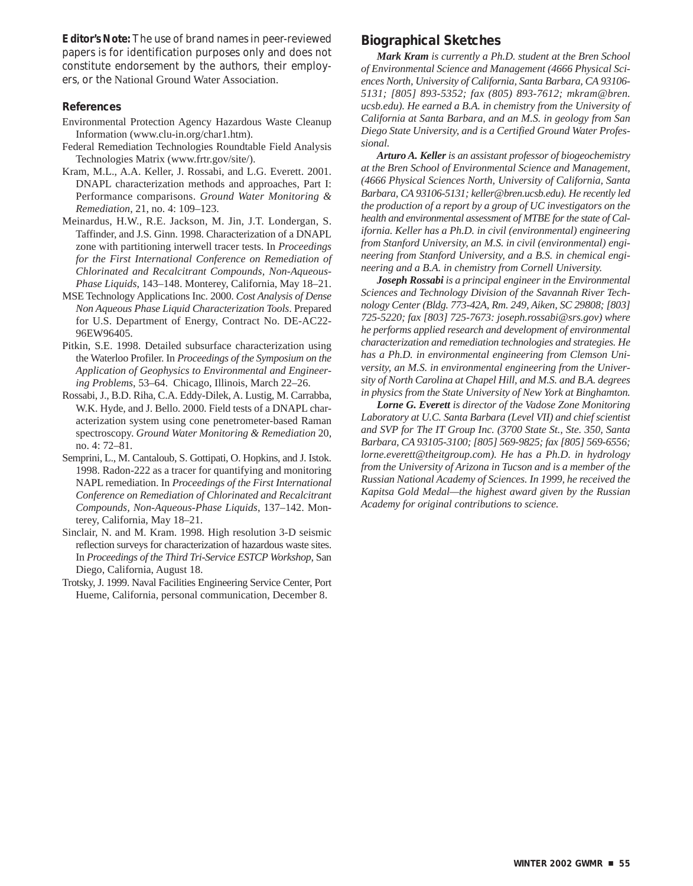**Editor's Note:** The use of brand names in peer-reviewed papers is for identification purposes only and does not constitute endorsement by the authors, their employers, or the National Ground Water Association.

#### **References**

- Environmental Protection Agency Hazardous Waste Cleanup Information (www.clu-in.org/char1.htm).
- Federal Remediation Technologies Roundtable Field Analysis Technologies Matrix (www.frtr.gov/site/).
- Kram, M.L., A.A. Keller, J. Rossabi, and L.G. Everett. 2001. DNAPL characterization methods and approaches, Part I: Performance comparisons. *Ground Water Monitoring & Remediation*, 21, no. 4: 109–123.
- Meinardus, H.W., R.E. Jackson, M. Jin, J.T. Londergan, S. Taffinder, and J.S. Ginn. 1998. Characterization of a DNAPL zone with partitioning interwell tracer tests. In *Proceedings for the First International Conference on Remediation of Chlorinated and Recalcitrant Compounds, Non-Aqueous-Phase Liquids*, 143–148. Monterey, California, May 18–21.
- MSE Technology Applications Inc. 2000. *Cost Analysis of Dense Non Aqueous Phase Liquid Characterization Tools*. Prepared for U.S. Department of Energy, Contract No. DE-AC22- 96EW96405.
- Pitkin, S.E. 1998. Detailed subsurface characterization using the Waterloo Profiler. In *Proceedings of the Symposium on the Application of Geophysics to Environmental and Engineering Problems*, 53–64. Chicago, Illinois, March 22–26.
- Rossabi, J., B.D. Riha, C.A. Eddy-Dilek, A. Lustig, M. Carrabba, W.K. Hyde, and J. Bello. 2000. Field tests of a DNAPL characterization system using cone penetrometer-based Raman spectroscopy. *Ground Water Monitoring & Remediation* 20, no. 4: 72–81.
- Semprini, L., M. Cantaloub, S. Gottipati, O. Hopkins, and J. Istok. 1998. Radon-222 as a tracer for quantifying and monitoring NAPL remediation. In *Proceedings of the First International Conference on Remediation of Chlorinated and Recalcitrant Compounds, Non-Aqueous-Phase Liquids*, 137–142. Monterey, California, May 18–21.
- Sinclair, N. and M. Kram. 1998. High resolution 3-D seismic reflection surveys for characterization of hazardous waste sites. In *Proceedings of the Third Tri-Service ESTCP Workshop*, San Diego, California, August 18.
- Trotsky, J. 1999. Naval Facilities Engineering Service Center, Port Hueme, California, personal communication, December 8.

# **Biographical Sketches**

*Mark Kram is currently a Ph.D. student at the Bren School of Environmental Science and Management (4666 Physical Sciences North, University of California, Santa Barbara, CA 93106- 5131; [805] 893-5352; fax (805) 893-7612; mkram@bren. ucsb.edu). He earned a B.A. in chemistry from the University of California at Santa Barbara, and an M.S. in geology from San Diego State University, and is a Certified Ground Water Professional.* 

*Arturo A. Keller is an assistant professor of biogeochemistry at the Bren School of Environmental Science and Management, (4666 Physical Sciences North, University of California, Santa Barbara, CA 93106-5131; keller@bren.ucsb.edu). He recently led the production of a report by a group of UC investigators on the health and environmental assessment of MTBE for the state of California. Keller has a Ph.D. in civil (environmental) engineering from Stanford University, an M.S. in civil (environmental) engineering from Stanford University, and a B.S. in chemical engineering and a B.A. in chemistry from Cornell University.* 

*Joseph Rossabi is a principal engineer in the Environmental Sciences and Technology Division of the Savannah River Technology Center (Bldg. 773-42A, Rm. 249, Aiken, SC 29808; [803] 725-5220; fax [803] 725-7673: joseph.rossabi@srs.gov) where he performs applied research and development of environmental characterization and remediation technologies and strategies. He has a Ph.D. in environmental engineering from Clemson University, an M.S. in environmental engineering from the University of North Carolina at Chapel Hill, and M.S. and B.A. degrees in physics from the State University of New York at Binghamton.* 

*Lorne G. Everett is director of the Vadose Zone Monitoring Laboratory at U.C. Santa Barbara (Level VII) and chief scientist and SVP for The IT Group Inc. (3700 State St., Ste. 350, Santa Barbara, CA 93105-3100; [805] 569-9825; fax [805] 569-6556; lorne.everett@theitgroup.com). He has a Ph.D. in hydrology from the University of Arizona in Tucson and is a member of the Russian National Academy of Sciences. In 1999, he received the Kapitsa Gold Medal—the highest award given by the Russian Academy for original contributions to science.*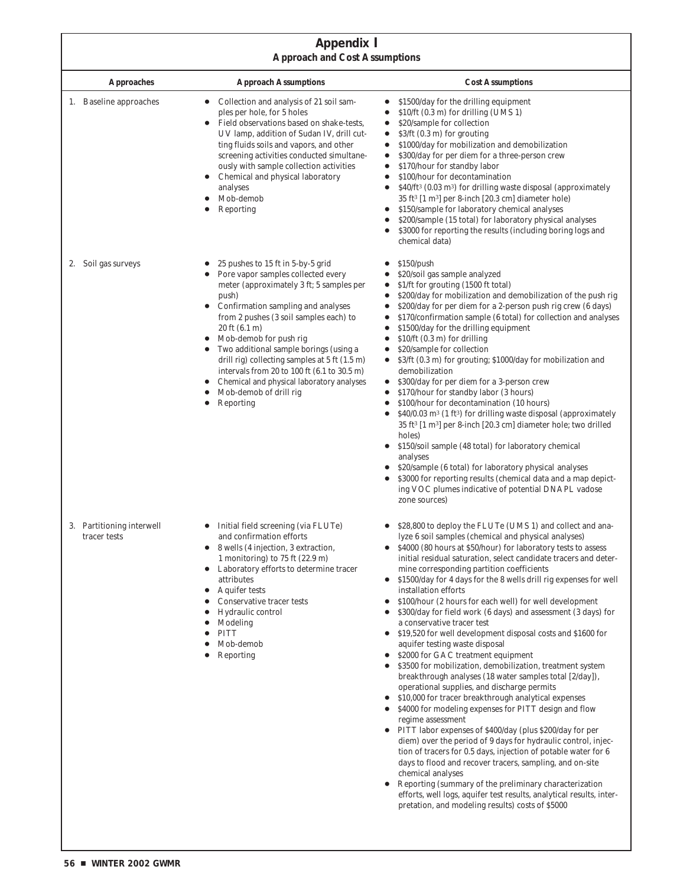# **Appendix I Approach and Cost Assumptions**

|                                           | лергоаси ана соза лежищеноиз                                                                                                                                                                                                                                                                                                                                                                                                                                                                                                                               |                                                                                                                                                                                                                                                                                                                                                                                                                                                                                                                                                                                                                                                                                                                                                                                                                                                                                                                                                                                                                                                                                                                                                                                                                                                                                                                                                                                                                                                                                                                                                         |  |
|-------------------------------------------|------------------------------------------------------------------------------------------------------------------------------------------------------------------------------------------------------------------------------------------------------------------------------------------------------------------------------------------------------------------------------------------------------------------------------------------------------------------------------------------------------------------------------------------------------------|---------------------------------------------------------------------------------------------------------------------------------------------------------------------------------------------------------------------------------------------------------------------------------------------------------------------------------------------------------------------------------------------------------------------------------------------------------------------------------------------------------------------------------------------------------------------------------------------------------------------------------------------------------------------------------------------------------------------------------------------------------------------------------------------------------------------------------------------------------------------------------------------------------------------------------------------------------------------------------------------------------------------------------------------------------------------------------------------------------------------------------------------------------------------------------------------------------------------------------------------------------------------------------------------------------------------------------------------------------------------------------------------------------------------------------------------------------------------------------------------------------------------------------------------------------|--|
| <b>Approaches</b>                         | <b>Approach Assumptions</b>                                                                                                                                                                                                                                                                                                                                                                                                                                                                                                                                | <b>Cost Assumptions</b>                                                                                                                                                                                                                                                                                                                                                                                                                                                                                                                                                                                                                                                                                                                                                                                                                                                                                                                                                                                                                                                                                                                                                                                                                                                                                                                                                                                                                                                                                                                                 |  |
| 1. Baseline approaches                    | Collection and analysis of 21 soil sam-<br>ples per hole, for 5 holes<br>Field observations based on shake-tests,<br>UV lamp, addition of Sudan IV, drill cut-<br>ting fluids soils and vapors, and other<br>screening activities conducted simultane-<br>ously with sample collection activities<br>Chemical and physical laboratory<br>analyses<br>Mob-demob<br>Reporting                                                                                                                                                                                | \$1500/day for the drilling equipment<br>$\bullet$<br>\$10/ft (0.3 m) for drilling (UMS 1)<br>\$20/sample for collection<br>$\bullet$<br>$$3/ft$ (0.3 m) for grouting<br>٠<br>\$1000/day for mobilization and demobilization<br>$\bullet$<br>\$300/day for per diem for a three-person crew<br>$\bullet$<br>\$170/hour for standby labor<br>$\bullet$<br>\$100/hour for decontamination<br>$\bullet$<br>\$40/ft <sup>3</sup> (0.03 m <sup>3</sup> ) for drilling waste disposal (approximately<br>$\bullet$<br>35 ft <sup>3</sup> [1 m <sup>3</sup> ] per 8-inch [20.3 cm] diameter hole)<br>\$150/sample for laboratory chemical analyses<br>\$200/sample (15 total) for laboratory physical analyses<br>\$3000 for reporting the results (including boring logs and<br>chemical data)                                                                                                                                                                                                                                                                                                                                                                                                                                                                                                                                                                                                                                                                                                                                                                 |  |
| 2. Soil gas surveys                       | 25 pushes to 15 ft in 5-by-5 grid<br>Pore vapor samples collected every<br>meter (approximately 3 ft; 5 samples per<br>push)<br>• Confirmation sampling and analyses<br>from 2 pushes (3 soil samples each) to<br>$20 \text{ ft} (6.1 \text{ m})$<br>Mob-demob for push rig<br>$\bullet$<br>Two additional sample borings (using a<br>$\bullet$<br>drill rig) collecting samples at $5 \text{ ft}$ (1.5 m)<br>intervals from 20 to 100 ft (6.1 to 30.5 m)<br>Chemical and physical laboratory analyses<br>Mob-demob of drill rig<br>Reporting<br>$\bullet$ | \$150/push<br>\$20/soil gas sample analyzed<br>$\bullet$<br>\$1/ft for grouting (1500 ft total)<br>$\bullet$<br>\$200/day for mobilization and demobilization of the push rig<br>\$200/day for per diem for a 2-person push rig crew (6 days)<br>\$170/confirmation sample (6 total) for collection and analyses<br>$\bullet$<br>\$1500/day for the drilling equipment<br>$\bullet$<br>$$10/ft$ (0.3 m) for drilling<br>$\bullet$<br>\$20/sample for collection<br>$\bullet$<br>\$3/ft (0.3 m) for grouting; \$1000/day for mobilization and<br>demobilization<br>\$300/day for per diem for a 3-person crew<br>$\bullet$<br>\$170/hour for standby labor (3 hours)<br>$\bullet$<br>\$100/hour for decontamination (10 hours)<br>$\bullet$<br>\$40/0.03 m <sup>3</sup> (1 ft <sup>3</sup> ) for drilling waste disposal (approximately<br>35 ft <sup>3</sup> [1 m <sup>3</sup> ] per 8-inch [20.3 cm] diameter hole; two drilled<br>holes)<br>• \$150/soil sample (48 total) for laboratory chemical<br>analyses<br>\$20/sample (6 total) for laboratory physical analyses<br>\$3000 for reporting results (chemical data and a map depict-<br>ing VOC plumes indicative of potential DNAPL vadose<br>zone sources)                                                                                                                                                                                                                                                                                                                                     |  |
| 3. Partitioning interwell<br>tracer tests | Initial field screening (via FLUTe)<br>and confirmation efforts<br>8 wells (4 injection, 3 extraction,<br>1 monitoring) to 75 ft $(22.9 \text{ m})$<br>Laboratory efforts to determine tracer<br>attributes<br><b>Aquifer tests</b><br>Conservative tracer tests<br>Hydraulic control<br>Modeling<br><b>PITT</b><br>Mob-demob<br>Reporting                                                                                                                                                                                                                 | \$28,800 to deploy the FLUTe (UMS 1) and collect and ana-<br>lyze 6 soil samples (chemical and physical analyses)<br>\$4000 (80 hours at \$50/hour) for laboratory tests to assess<br>initial residual saturation, select candidate tracers and deter-<br>mine corresponding partition coefficients<br>\$1500/day for 4 days for the 8 wells drill rig expenses for well<br>٠<br>installation efforts<br>\$100/hour (2 hours for each well) for well development<br>٠<br>\$300/day for field work (6 days) and assessment (3 days) for<br>a conservative tracer test<br>\$19,520 for well development disposal costs and \$1600 for<br>$\bullet$<br>aquifer testing waste disposal<br>\$2000 for GAC treatment equipment<br>$\bullet$<br>\$3500 for mobilization, demobilization, treatment system<br>breakthrough analyses (18 water samples total [2/day]),<br>operational supplies, and discharge permits<br>\$10,000 for tracer breakthrough analytical expenses<br>\$4000 for modeling expenses for PITT design and flow<br>٠<br>regime assessment<br>PITT labor expenses of \$400/day (plus \$200/day for per<br>$\bullet$<br>diem) over the period of 9 days for hydraulic control, injec-<br>tion of tracers for 0.5 days, injection of potable water for 6<br>days to flood and recover tracers, sampling, and on-site<br>chemical analyses<br>Reporting (summary of the preliminary characterization<br>$\bullet$<br>efforts, well logs, aquifer test results, analytical results, inter-<br>pretation, and modeling results) costs of \$5000 |  |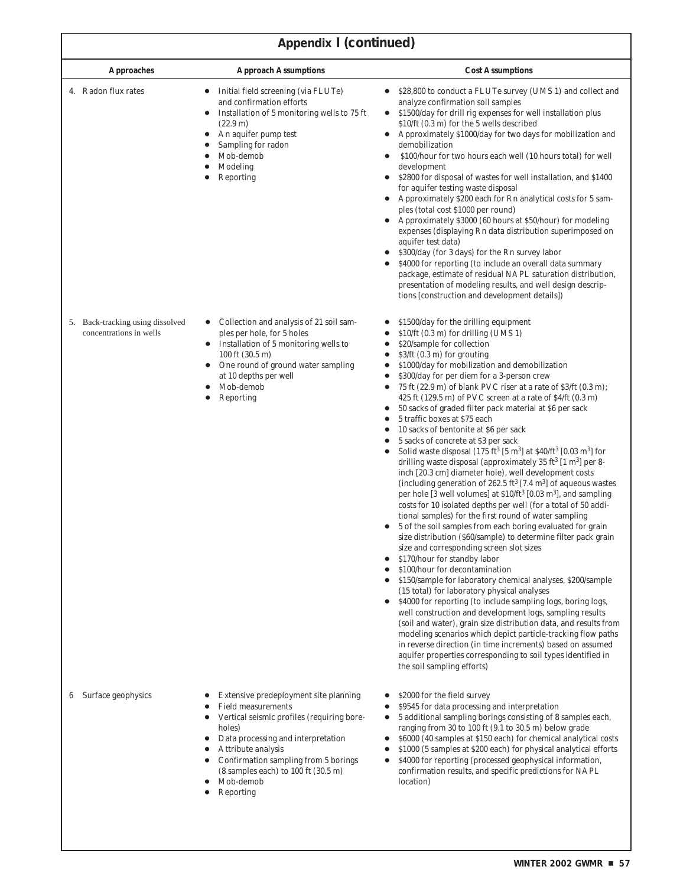| <b>Approaches</b>                                           | <b>Approach Assumptions</b>                                                                                                                                                                                                                                                                                  | <b>Cost Assumptions</b>                                                                                                                                                                                                                                                                                                                                                                                                                                                                                                                                                                                                                                                                                                                                                                                                                                                                                                                                                                                                                                                                                                                                                                                                                                                                                                                                                                                                                                                                                                                                                                                                                                                                                                                                                                                                                                                                                                                                           |
|-------------------------------------------------------------|--------------------------------------------------------------------------------------------------------------------------------------------------------------------------------------------------------------------------------------------------------------------------------------------------------------|-------------------------------------------------------------------------------------------------------------------------------------------------------------------------------------------------------------------------------------------------------------------------------------------------------------------------------------------------------------------------------------------------------------------------------------------------------------------------------------------------------------------------------------------------------------------------------------------------------------------------------------------------------------------------------------------------------------------------------------------------------------------------------------------------------------------------------------------------------------------------------------------------------------------------------------------------------------------------------------------------------------------------------------------------------------------------------------------------------------------------------------------------------------------------------------------------------------------------------------------------------------------------------------------------------------------------------------------------------------------------------------------------------------------------------------------------------------------------------------------------------------------------------------------------------------------------------------------------------------------------------------------------------------------------------------------------------------------------------------------------------------------------------------------------------------------------------------------------------------------------------------------------------------------------------------------------------------------|
| 4. Radon flux rates                                         | Initial field screening (via FLUTe)<br>and confirmation efforts<br>Installation of 5 monitoring wells to 75 ft<br>$(22.9 \text{ m})$<br>An aquifer pump test<br>Sampling for radon<br>Mob-demob<br>Modeling<br>Reporting                                                                                     | \$28,800 to conduct a FLUTe survey (UMS 1) and collect and<br>analyze confirmation soil samples<br>\$1500/day for drill rig expenses for well installation plus<br>$\bullet$<br>\$10/ft (0.3 m) for the 5 wells described<br>Approximately \$1000/day for two days for mobilization and<br>$\bullet$<br>demobilization<br>\$100/hour for two hours each well (10 hours total) for well<br>development<br>\$2800 for disposal of wastes for well installation, and \$1400<br>$\bullet$<br>for aquifer testing waste disposal<br>Approximately \$200 each for Rn analytical costs for 5 sam-<br>ples (total cost \$1000 per round)<br>Approximately \$3000 (60 hours at \$50/hour) for modeling<br>expenses (displaying Rn data distribution superimposed on<br>aquifer test data)<br>\$300/day (for 3 days) for the Rn survey labor<br>\$4000 for reporting (to include an overall data summary<br>package, estimate of residual NAPL saturation distribution,<br>presentation of modeling results, and well design descrip-<br>tions [construction and development details])                                                                                                                                                                                                                                                                                                                                                                                                                                                                                                                                                                                                                                                                                                                                                                                                                                                                                      |
| 5. Back-tracking using dissolved<br>concentrations in wells | Collection and analysis of 21 soil sam-<br>ples per hole, for 5 holes<br>Installation of 5 monitoring wells to<br>$\bullet$<br>100 ft $(30.5 \text{ m})$<br>One round of ground water sampling<br>$\bullet$<br>at 10 depths per well<br>Mob-demob<br>Reporting<br>$\bullet$                                  | \$1500/day for the drilling equipment<br>$$10/ft$ (0.3 m) for drilling (UMS 1)<br>\$20/sample for collection<br>$$3/ft$ (0.3 m) for grouting<br>\$1000/day for mobilization and demobilization<br>٠<br>\$300/day for per diem for a 3-person crew<br>75 ft (22.9 m) of blank PVC riser at a rate of \$3/ft (0.3 m);<br>٠<br>425 ft $(129.5 \text{ m})$ of PVC screen at a rate of $4/ft$ $(0.3 \text{ m})$<br>50 sacks of graded filter pack material at \$6 per sack<br>5 traffic boxes at \$75 each<br>10 sacks of bentonite at \$6 per sack<br>5 sacks of concrete at \$3 per sack<br>Solid waste disposal (175 ft <sup>3</sup> [5 m <sup>3</sup> ] at \$40/ft <sup>3</sup> [0.03 m <sup>3</sup> ] for<br>drilling waste disposal (approximately 35 ft <sup>3</sup> [1 m <sup>3</sup> ] per 8-<br>inch [20.3 cm] diameter hole), well development costs<br>(including generation of 262.5 ft <sup>3</sup> [7.4 m <sup>3</sup> ] of aqueous wastes<br>per hole [3 well volumes] at \$10/ft <sup>3</sup> [0.03 m <sup>3</sup> ], and sampling<br>costs for 10 isolated depths per well (for a total of 50 addi-<br>tional samples) for the first round of water sampling<br>5 of the soil samples from each boring evaluated for grain<br>size distribution (\$60/sample) to determine filter pack grain<br>size and corresponding screen slot sizes<br>\$170/hour for standby labor<br>\$100/hour for decontamination<br>\$150/sample for laboratory chemical analyses, \$200/sample<br>(15 total) for laboratory physical analyses<br>\$4000 for reporting (to include sampling logs, boring logs,<br>well construction and development logs, sampling results<br>(soil and water), grain size distribution data, and results from<br>modeling scenarios which depict particle-tracking flow paths<br>in reverse direction (in time increments) based on assumed<br>aquifer properties corresponding to soil types identified in<br>the soil sampling efforts) |
| Surface geophysics                                          | Extensive predeployment site planning<br><b>Field measurements</b><br>Vertical seismic profiles (requiring bore-<br>holes)<br>Data processing and interpretation<br>Attribute analysis<br>Confirmation sampling from 5 borings<br>(8 samples each) to 100 ft (30.5 m)<br>Mob-demob<br>Reporting<br>$\bullet$ | \$2000 for the field survey<br>\$9545 for data processing and interpretation<br>5 additional sampling borings consisting of 8 samples each,<br>٠<br>ranging from 30 to 100 ft (9.1 to 30.5 m) below grade<br>\$6000 (40 samples at \$150 each) for chemical analytical costs<br>٠<br>\$1000 (5 samples at \$200 each) for physical analytical efforts<br>\$4000 for reporting (processed geophysical information,<br>confirmation results, and specific predictions for NAPL<br>location)                                                                                                                                                                                                                                                                                                                                                                                                                                                                                                                                                                                                                                                                                                                                                                                                                                                                                                                                                                                                                                                                                                                                                                                                                                                                                                                                                                                                                                                                         |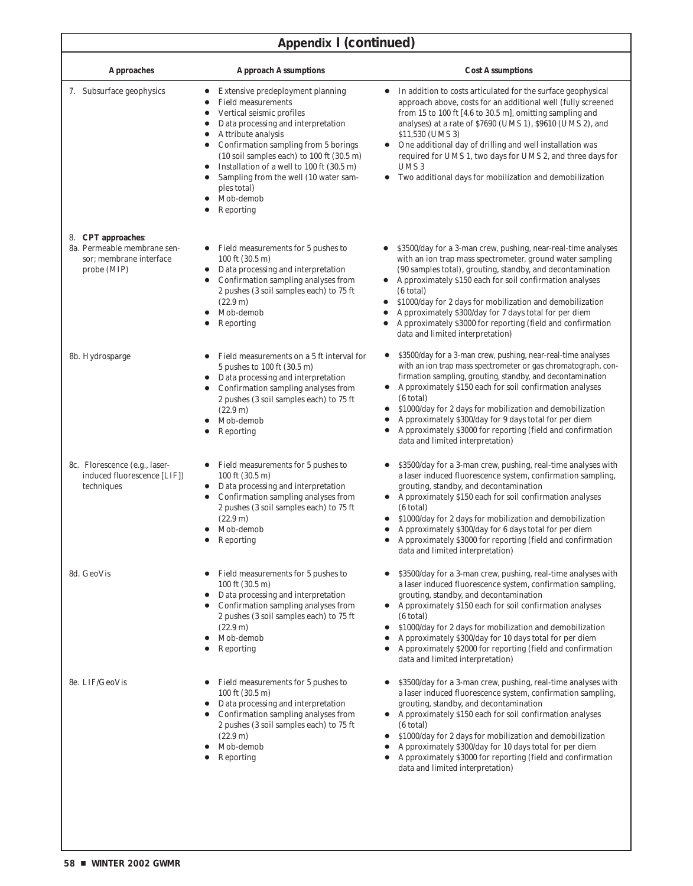| <b>Approaches</b>                                                                           | <b>Approach Assumptions</b>                                                                                                                                                                                                                                                                                                                                                                                                                                                            | <b>Cost Assumptions</b>                                                                                                                                                                                                                                                                                                                                                                                                                                                                                        |
|---------------------------------------------------------------------------------------------|----------------------------------------------------------------------------------------------------------------------------------------------------------------------------------------------------------------------------------------------------------------------------------------------------------------------------------------------------------------------------------------------------------------------------------------------------------------------------------------|----------------------------------------------------------------------------------------------------------------------------------------------------------------------------------------------------------------------------------------------------------------------------------------------------------------------------------------------------------------------------------------------------------------------------------------------------------------------------------------------------------------|
| 7. Subsurface geophysics                                                                    | Extensive predeployment planning<br><b>Field measurements</b><br>$\bullet$<br>Vertical seismic profiles<br>$\bullet$<br>Data processing and interpretation<br>Attribute analysis<br>$\bullet$<br>Confirmation sampling from 5 borings<br>$\bullet$<br>$(10 \text{ soil samples each})$ to $100 \text{ ft}$ $(30.5 \text{ m})$<br>Installation of a well to 100 ft (30.5 m)<br>$\bullet$<br>Sampling from the well (10 water sam-<br>$\bullet$<br>ples total)<br>Mob-demob<br>Reporting | In addition to costs articulated for the surface geophysical<br>approach above, costs for an additional well (fully screened<br>from 15 to 100 ft [4.6 to 30.5 m], omitting sampling and<br>analyses) at a rate of \$7690 (UMS 1), \$9610 (UMS 2), and<br>\$11,530 (UMS 3)<br>One additional day of drilling and well installation was<br>required for UMS 1, two days for UMS 2, and three days for<br>UMS <sub>3</sub><br>Two additional days for mobilization and demobilization<br>٠                       |
| 8. CPT approaches:<br>8a. Permeable membrane sen-<br>sor; membrane interface<br>probe (MIP) | Field measurements for 5 pushes to<br>100 ft (30.5 m)<br>Data processing and interpretation<br>Confirmation sampling analyses from<br>$\bullet$<br>2 pushes (3 soil samples each) to 75 ft<br>$(22.9 \text{ m})$<br>Mob-demob<br>$\bullet$<br>Reporting                                                                                                                                                                                                                                | \$3500/day for a 3-man crew, pushing, near-real-time analyses<br>with an ion trap mass spectrometer, ground water sampling<br>(90 samples total), grouting, standby, and decontamination<br>Approximately \$150 each for soil confirmation analyses<br>(6 total)<br>\$1000/day for 2 days for mobilization and demobilization<br>Approximately \$300/day for 7 days total for per diem<br>Approximately \$3000 for reporting (field and confirmation<br>data and limited interpretation)                       |
| 8b. Hydrosparge                                                                             | Field measurements on a 5 ft interval for<br>5 pushes to 100 ft (30.5 m)<br>Data processing and interpretation<br>٠<br>Confirmation sampling analyses from<br>2 pushes (3 soil samples each) to 75 ft<br>$(22.9 \text{ m})$<br>Mob-demob<br>Reporting                                                                                                                                                                                                                                  | \$3500/day for a 3-man crew, pushing, near-real-time analyses<br>$\bullet$<br>with an ion trap mass spectrometer or gas chromatograph, con-<br>firmation sampling, grouting, standby, and decontamination<br>Approximately \$150 each for soil confirmation analyses<br>٠<br>(6 total)<br>\$1000/day for 2 days for mobilization and demobilization<br>Approximately \$300/day for 9 days total for per diem<br>Approximately \$3000 for reporting (field and confirmation<br>data and limited interpretation) |
| 8c. Florescence (e.g., laser-<br>induced fluorescence [LIF])<br>techniques                  | Field measurements for 5 pushes to<br>100 ft (30.5 m)<br>Data processing and interpretation<br>٠<br>Confirmation sampling analyses from<br>2 pushes (3 soil samples each) to 75 ft<br>$(22.9 \text{ m})$<br>Mob-demob<br>Reporting                                                                                                                                                                                                                                                     | \$3500/day for a 3-man crew, pushing, real-time analyses with<br>a laser induced fluorescence system, confirmation sampling,<br>grouting, standby, and decontamination<br>Approximately \$150 each for soil confirmation analyses<br>(6 total)<br>\$1000/day for 2 days for mobilization and demobilization<br>Approximately \$300/day for 6 days total for per diem<br>Approximately \$3000 for reporting (field and confirmation<br>data and limited interpretation)                                         |
| 8d. GeoVis                                                                                  | Field measurements for 5 pushes to<br>100 ft (30.5 m)<br>Data processing and interpretation<br>Confirmation sampling analyses from<br>2 pushes (3 soil samples each) to 75 ft<br>$(22.9 \text{ m})$<br>Mob-demob<br>Reporting                                                                                                                                                                                                                                                          | \$3500/day for a 3-man crew, pushing, real-time analyses with<br>a laser induced fluorescence system, confirmation sampling,<br>grouting, standby, and decontamination<br>Approximately \$150 each for soil confirmation analyses<br>(6 total)<br>\$1000/day for 2 days for mobilization and demobilization<br>Approximately \$300/day for 10 days total for per diem<br>٠<br>Approximately \$2000 for reporting (field and confirmation<br>data and limited interpretation)                                   |
| 8e. LIF/GeoVis                                                                              | Field measurements for 5 pushes to<br>100 ft (30.5 m)<br>Data processing and interpretation<br>Confirmation sampling analyses from<br>2 pushes (3 soil samples each) to 75 ft<br>$(22.9 \text{ m})$<br>Mob-demob<br>Reporting                                                                                                                                                                                                                                                          | \$3500/day for a 3-man crew, pushing, real-time analyses with<br>a laser induced fluorescence system, confirmation sampling,<br>grouting, standby, and decontamination<br>Approximately \$150 each for soil confirmation analyses<br>(6 total)<br>\$1000/day for 2 days for mobilization and demobilization<br>٠<br>Approximately \$300/day for 10 days total for per diem<br>٠<br>Approximately \$3000 for reporting (field and confirmation<br>٠<br>data and limited interpretation)                         |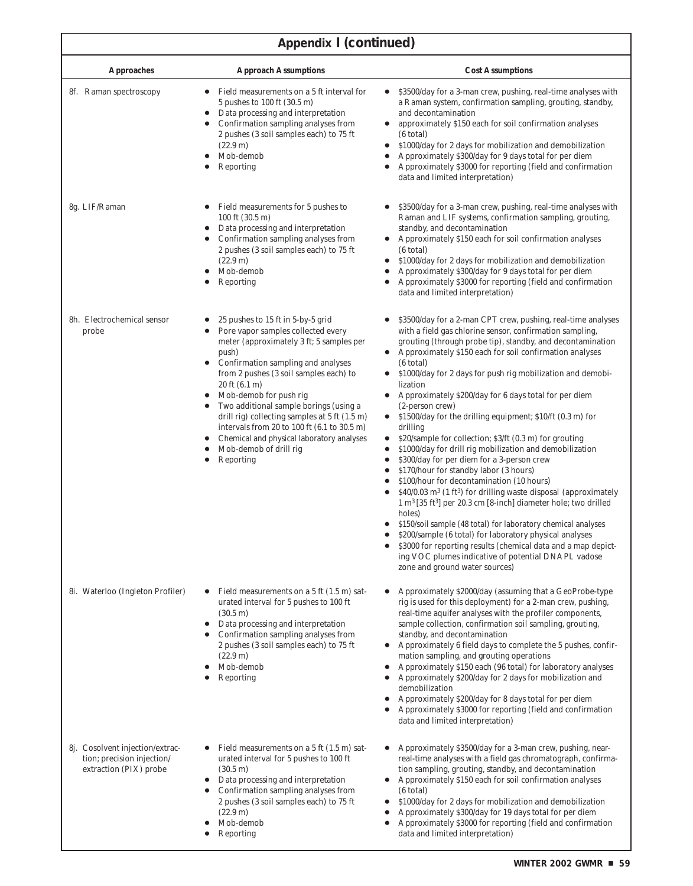I

| <b>Approaches</b>                                                                       | <b>Approach Assumptions</b>                                                                                                                                                                                                                                                                                                                                                                                                                                                                                                             | <b>Cost Assumptions</b>                                                                                                                                                                                                                                                                                                                                                                                                                                                                                                                                                                                                                                                                                                                                                                                                                                                                                                                                                                                                                                                                                                                                                                                                                                                                              |
|-----------------------------------------------------------------------------------------|-----------------------------------------------------------------------------------------------------------------------------------------------------------------------------------------------------------------------------------------------------------------------------------------------------------------------------------------------------------------------------------------------------------------------------------------------------------------------------------------------------------------------------------------|------------------------------------------------------------------------------------------------------------------------------------------------------------------------------------------------------------------------------------------------------------------------------------------------------------------------------------------------------------------------------------------------------------------------------------------------------------------------------------------------------------------------------------------------------------------------------------------------------------------------------------------------------------------------------------------------------------------------------------------------------------------------------------------------------------------------------------------------------------------------------------------------------------------------------------------------------------------------------------------------------------------------------------------------------------------------------------------------------------------------------------------------------------------------------------------------------------------------------------------------------------------------------------------------------|
| 8f. Raman spectroscopy                                                                  | Field measurements on a 5 ft interval for<br>$\bullet$<br>5 pushes to 100 ft (30.5 m)<br>Data processing and interpretation<br>$\bullet$<br>Confirmation sampling analyses from<br>2 pushes (3 soil samples each) to 75 ft<br>$(22.9 \text{ m})$<br>Mob-demob<br>Reporting<br>$\bullet$                                                                                                                                                                                                                                                 | \$3500/day for a 3-man crew, pushing, real-time analyses with<br>$\bullet$<br>a Raman system, confirmation sampling, grouting, standby,<br>and decontamination<br>approximately \$150 each for soil confirmation analyses<br>(6 total)<br>\$1000/day for 2 days for mobilization and demobilization<br>٠<br>Approximately \$300/day for 9 days total for per diem<br>$\bullet$<br>Approximately \$3000 for reporting (field and confirmation<br>$\bullet$<br>data and limited interpretation)                                                                                                                                                                                                                                                                                                                                                                                                                                                                                                                                                                                                                                                                                                                                                                                                        |
| 8g. LIF/Raman                                                                           | Field measurements for 5 pushes to<br>100 ft (30.5 m)<br>Data processing and interpretation<br>Confirmation sampling analyses from<br>2 pushes (3 soil samples each) to 75 ft<br>$(22.9 \text{ m})$<br>Mob-demob<br>Reporting<br>٠                                                                                                                                                                                                                                                                                                      | \$3500/day for a 3-man crew, pushing, real-time analyses with<br>Raman and LIF systems, confirmation sampling, grouting,<br>standby, and decontamination<br>Approximately \$150 each for soil confirmation analyses<br>(6 total)<br>\$1000/day for 2 days for mobilization and demobilization<br>$\bullet$<br>Approximately \$300/day for 9 days total for per diem<br>Approximately \$3000 for reporting (field and confirmation<br>$\bullet$<br>data and limited interpretation)                                                                                                                                                                                                                                                                                                                                                                                                                                                                                                                                                                                                                                                                                                                                                                                                                   |
| 8h. Electrochemical sensor<br>probe                                                     | 25 pushes to 15 ft in 5-by-5 grid<br>Pore vapor samples collected every<br>meter (approximately 3 ft; 5 samples per<br>push)<br>Confirmation sampling and analyses<br>$\bullet$<br>from 2 pushes (3 soil samples each) to<br>$20 \text{ ft} (6.1 \text{ m})$<br>Mob-demob for push rig<br>Two additional sample borings (using a<br>drill rig) collecting samples at $5 \text{ ft } (1.5 \text{ m})$<br>intervals from 20 to 100 ft (6.1 to 30.5 m)<br>Chemical and physical laboratory analyses<br>Mob-demob of drill rig<br>Reporting | \$3500/day for a 2-man CPT crew, pushing, real-time analyses<br>with a field gas chlorine sensor, confirmation sampling,<br>grouting (through probe tip), standby, and decontamination<br>Approximately \$150 each for soil confirmation analyses<br>(6 total)<br>\$1000/day for 2 days for push rig mobilization and demobi-<br>lization<br>Approximately \$200/day for 6 days total for per diem<br>(2-person crew)<br>\$1500/day for the drilling equipment; \$10/ft (0.3 m) for<br>$\bullet$<br>drilling<br>\$20/sample for collection; \$3/ft (0.3 m) for grouting<br>$\bullet$<br>\$1000/day for drill rig mobilization and demobilization<br>$\bullet$<br>\$300/day for per diem for a 3-person crew<br>\$170/hour for standby labor (3 hours)<br>$\bullet$<br>\$100/hour for decontamination (10 hours)<br>\$40/0.03 m <sup>3</sup> (1 ft <sup>3</sup> ) for drilling waste disposal (approximately<br>$1 \text{ m}^3$ [35 ft <sup>3</sup> ] per 20.3 cm [8-inch] diameter hole; two drilled<br>holes)<br>\$150/soil sample (48 total) for laboratory chemical analyses<br>\$200/sample (6 total) for laboratory physical analyses<br>\$3000 for reporting results (chemical data and a map depict-<br>ing VOC plumes indicative of potential DNAPL vadose<br>zone and ground water sources) |
| 8i. Waterloo (Ingleton Profiler)                                                        | Field measurements on a 5 ft (1.5 m) sat-<br>urated interval for 5 pushes to 100 ft<br>$(30.5 \text{ m})$<br>Data processing and interpretation<br>$\bullet$<br>Confirmation sampling analyses from<br>2 pushes (3 soil samples each) to 75 ft<br>$(22.9 \text{ m})$<br>Mob-demob<br>Reporting                                                                                                                                                                                                                                          | Approximately \$2000/day (assuming that a GeoProbe-type<br>rig is used for this deployment) for a 2-man crew, pushing,<br>real-time aquifer analyses with the profiler components,<br>sample collection, confirmation soil sampling, grouting,<br>standby, and decontamination<br>Approximately 6 field days to complete the 5 pushes, confir-<br>$\bullet$<br>mation sampling, and grouting operations<br>Approximately \$150 each (96 total) for laboratory analyses<br>Approximately \$200/day for 2 days for mobilization and<br>٠<br>demobilization<br>Approximately \$200/day for 8 days total for per diem<br>Approximately \$3000 for reporting (field and confirmation<br>data and limited interpretation)                                                                                                                                                                                                                                                                                                                                                                                                                                                                                                                                                                                  |
| 8j. Cosolvent injection/extrac-<br>tion; precision injection/<br>extraction (PIX) probe | Field measurements on a 5 ft (1.5 m) sat-<br>urated interval for 5 pushes to 100 ft<br>$(30.5 \text{ m})$<br>Data processing and interpretation<br>$\bullet$<br>Confirmation sampling analyses from<br>2 pushes (3 soil samples each) to 75 ft<br>(22.9 m)<br>Mob-demob<br>Reporting                                                                                                                                                                                                                                                    | Approximately \$3500/day for a 3-man crew, pushing, near-<br>real-time analyses with a field gas chromatograph, confirma-<br>tion sampling, grouting, standby, and decontamination<br>Approximately \$150 each for soil confirmation analyses<br>$\bullet$<br>(6 total)<br>\$1000/day for 2 days for mobilization and demobilization<br>$\bullet$<br>Approximately \$300/day for 19 days total for per diem<br>$\bullet$<br>Approximately \$3000 for reporting (field and confirmation<br>$\bullet$<br>data and limited interpretation)                                                                                                                                                                                                                                                                                                                                                                                                                                                                                                                                                                                                                                                                                                                                                              |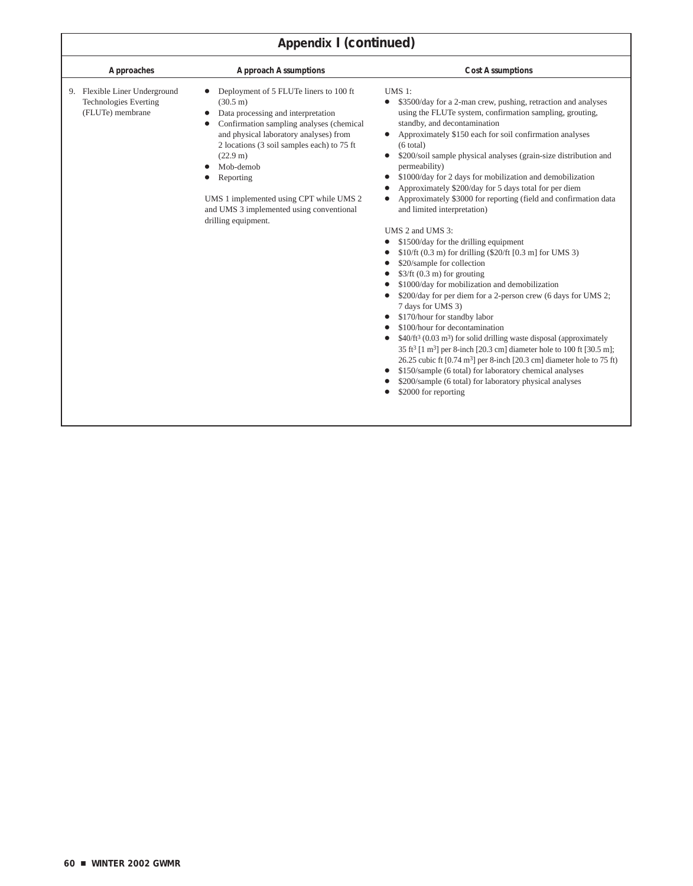| <b>Approaches</b>                                                                 | <b>Approach Assumptions</b>                                                                                                                                                                                                                                                                                                                                                                | <b>Cost Assumptions</b>                                                                                                                                                                                                                                                                                                                                                                                                                                                                                                                                                                                                                                                                                                                                                                                                                                                                                                                                                                                                                                                                                                                                                                                                                                                                                                                                                                            |
|-----------------------------------------------------------------------------------|--------------------------------------------------------------------------------------------------------------------------------------------------------------------------------------------------------------------------------------------------------------------------------------------------------------------------------------------------------------------------------------------|----------------------------------------------------------------------------------------------------------------------------------------------------------------------------------------------------------------------------------------------------------------------------------------------------------------------------------------------------------------------------------------------------------------------------------------------------------------------------------------------------------------------------------------------------------------------------------------------------------------------------------------------------------------------------------------------------------------------------------------------------------------------------------------------------------------------------------------------------------------------------------------------------------------------------------------------------------------------------------------------------------------------------------------------------------------------------------------------------------------------------------------------------------------------------------------------------------------------------------------------------------------------------------------------------------------------------------------------------------------------------------------------------|
| 9. Flexible Liner Underground<br><b>Technologies Everting</b><br>(FLUTe) membrane | Deployment of 5 FLUTe liners to 100 ft<br>$(30.5 \text{ m})$<br>Data processing and interpretation<br>Confirmation sampling analyses (chemical<br>and physical laboratory analyses) from<br>2 locations (3 soil samples each) to 75 ft<br>(22.9 m)<br>Mob-demob<br>Reporting<br>UMS 1 implemented using CPT while UMS 2<br>and UMS 3 implemented using conventional<br>drilling equipment. | <b>UMS 1:</b><br>\$3500/day for a 2-man crew, pushing, retraction and analyses<br>$\bullet$<br>using the FLUTe system, confirmation sampling, grouting,<br>standby, and decontamination<br>Approximately \$150 each for soil confirmation analyses<br>(6 total)<br>\$200/soil sample physical analyses (grain-size distribution and<br>permeability)<br>\$1000/day for 2 days for mobilization and demobilization<br>Approximately \$200/day for 5 days total for per diem<br>Approximately \$3000 for reporting (field and confirmation data<br>and limited interpretation)<br>UMS 2 and UMS 3:<br>\$1500/day for the drilling equipment<br>\$10/ft (0.3 m) for drilling (\$20/ft [0.3 m] for UMS 3)<br>\$20/sample for collection<br>$$3/ft (0.3 m)$ for grouting<br>\$1000/day for mobilization and demobilization<br>\$200/day for per diem for a 2-person crew (6 days for UMS 2;<br>7 days for UMS 3)<br>\$170/hour for standby labor<br>\$100/hour for decontamination<br>$$40/ft3 (0.03 m3)$ for solid drilling waste disposal (approximately<br>35 ft <sup>3</sup> [1 m <sup>3</sup> ] per 8-inch [20.3 cm] diameter hole to 100 ft [30.5 m];<br>26.25 cubic ft $[0.74 \text{ m}^3]$ per 8-inch $[20.3 \text{ cm}]$ diameter hole to 75 ft)<br>\$150/sample (6 total) for laboratory chemical analyses<br>\$200/sample (6 total) for laboratory physical analyses<br>\$2000 for reporting |